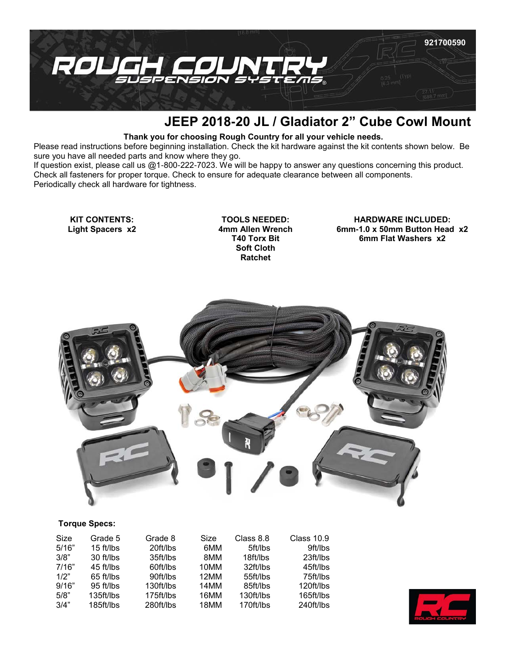

## **JEEP 2018-20 JL / Gladiator 2" Cube Cowl Mount**

## **Thank you for choosing Rough Country for all your vehicle needs.**

Please read instructions before beginning installation. Check the kit hardware against the kit contents shown below. Be sure you have all needed parts and know where they go.

If question exist, please call us @1-800-222-7023. We will be happy to answer any questions concerning this product. Check all fasteners for proper torque. Check to ensure for adequate clearance between all components. Periodically check all hardware for tightness.

**KIT CONTENTS: Light Spacers x2**

**TOOLS NEEDED: 4mm Allen Wrench T40 Torx Bit Soft Cloth Ratchet**

**HARDWARE INCLUDED: 6mm-1.0 x 50mm Button Head x2 6mm Flat Washers x2**



## **Torque Specs:**

| Size  | Grade 5     | Grade 8   | Size | Class 8.8 | Class 10.9 |
|-------|-------------|-----------|------|-----------|------------|
| 5/16" | $15$ ft/lbs | 20ft/lbs  | 6MM  | 5ft/lbs   | 9ft/lbs    |
| 3/8"  | 30 ft/lbs   | 35ft/lbs  | 8MM  | 18ft/lbs  | 23ft/lbs   |
| 7/16" | 45 ft/lbs   | 60ft/lbs  | 10MM | 32ft/lbs  | 45ft/lbs   |
| 1/2"  | $65$ ft/lbs | 90ft/lbs  | 12MM | 55ft/lbs  | 75ft/lbs   |
| 9/16" | 95 ft/lbs   | 130ft/lbs | 14MM | 85ft/lbs  | 120ft/lbs  |
| 5/8"  | 135ft/lbs   | 175ft/lbs | 16MM | 130ft/lbs | 165ft/lbs  |
| 3/4"  | 185ft/lbs   | 280ft/lbs | 18MM | 170ft/lbs | 240ft/lbs  |

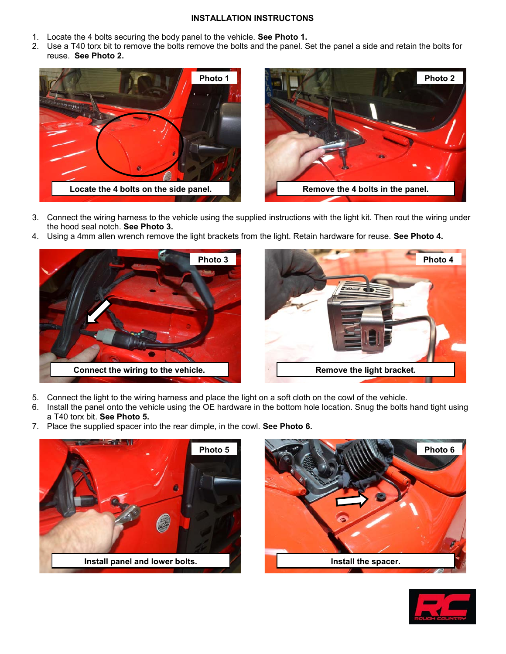## **INSTALLATION INSTRUCTONS**

- 1. Locate the 4 bolts securing the body panel to the vehicle. **See Photo 1.**
- 2. Use a T40 torx bit to remove the bolts remove the bolts and the panel. Set the panel a side and retain the bolts for reuse. **See Photo 2.**



- 3. Connect the wiring harness to the vehicle using the supplied instructions with the light kit. Then rout the wiring under the hood seal notch. **See Photo 3.**
- 4. Using a 4mm allen wrench remove the light brackets from the light. Retain hardware for reuse. **See Photo 4.**





- 5. Connect the light to the wiring harness and place the light on a soft cloth on the cowl of the vehicle.
- 6. Install the panel onto the vehicle using the OE hardware in the bottom hole location. Snug the bolts hand tight using a T40 torx bit. **See Photo 5.**
- 7. Place the supplied spacer into the rear dimple, in the cowl. **See Photo 6.**